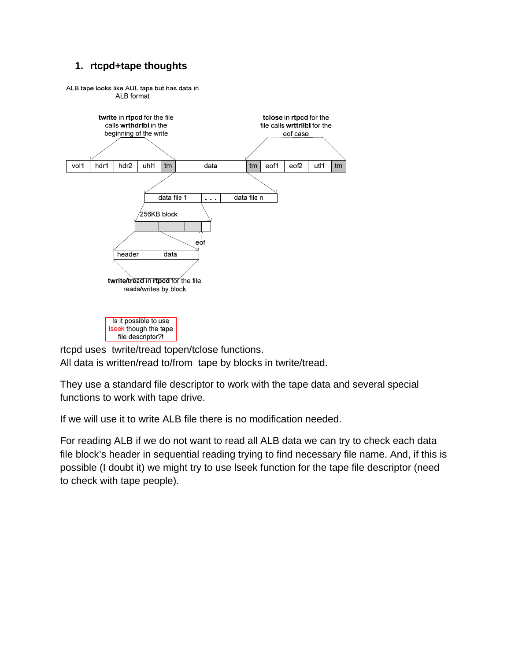# **1. rtcpd+tape thoughts**



rtcpd uses twrite/tread topen/tclose functions. All data is written/read to/from tape by blocks in twrite/tread.

They use a standard file descriptor to work with the tape data and several special functions to work with tape drive.

If we will use it to write ALB file there is no modification needed.

For reading ALB if we do not want to read all ALB data we can try to check each data file block's header in sequential reading trying to find necessary file name. And, if this is possible (I doubt it) we might try to use lseek function for the tape file descriptor (need to check with tape people).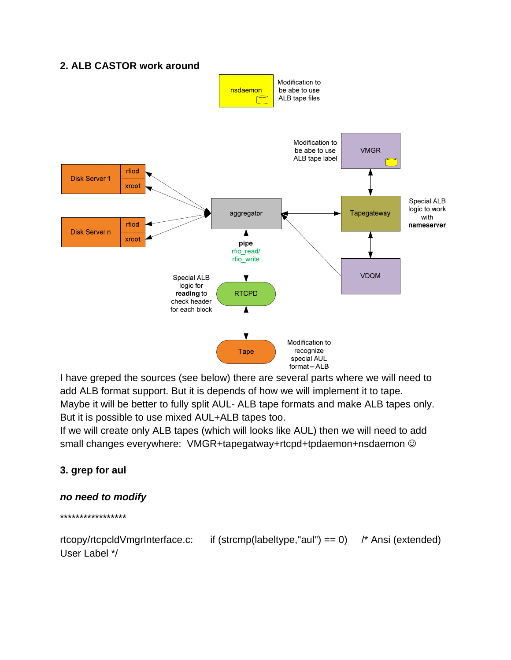# **2. ALB CASTOR work around**



I have greped the sources (see below) there are several parts where we will need to add ALB format support. But it is depends of how we will implement it to tape. Maybe it will be better to fully split AUL- ALB tape formats and make ALB tapes only. But it is possible to use mixed AUL+ALB tapes too.

If we will create only ALB tapes (which will looks like AUL) then we will need to add small changes everywhere: VMGR+tapegatway+rtcpd+tpdaemon+nsdaemon  $\odot$ 

# **3. grep for aul**

## *no need to modify*

\*\*\*\*\*\*\*\*\*\*\*\*\*\*\*\*\*

rtcopy/rtcpcldVmgrInterface.c: if (strcmp(labeltype,"aul") == 0) /\* Ansi (extended) User Label \*/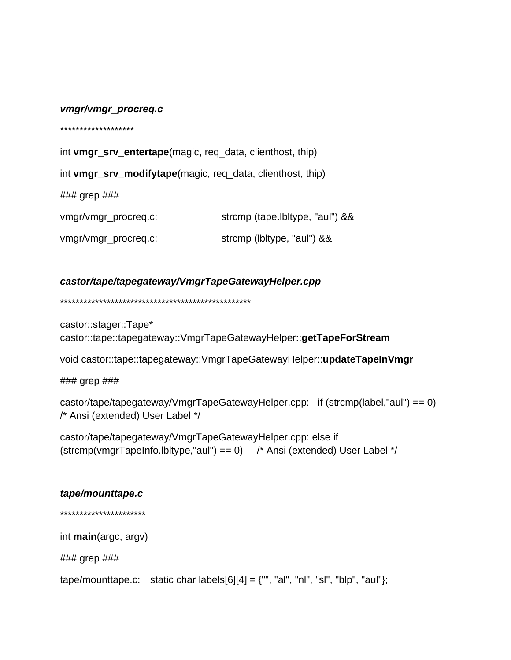### vmgr/vmgr\_procreq.c

\*\*\*\*\*\*\*\*\*\*\*\*\*\*\*\*\*\*\*

int vmgr\_srv\_entertape(magic, req\_data, clienthost, thip)

int vmgr\_srv\_modifytape(magic, req\_data, clienthost, thip)

 $\# \# \#$  grep  $\# \# \#$ 

| vmgr/vmgr_procreq.c: | strcmp (tape.lbltype, "aul") && |
|----------------------|---------------------------------|
| vmgr/vmgr_procreq.c: | strcmp (lbltype, "aul") &&      |

# castor/tape/tapegateway/VmgrTapeGatewayHelper.cpp

castor::stager::Tape\* castor::tape::tapegateway::VmgrTapeGatewayHelper::getTapeForStream

void castor::tape::tapegateway::VmgrTapeGatewayHelper::updateTapeInVmgr

 $\# \# \#$  grep  $\# \# \#$ 

castor/tape/tapegateway/VmgrTapeGatewayHelper.cpp: if (strcmp(label,"aul") == 0) /\* Ansi (extended) User Label \*/

castor/tape/tapegateway/VmgrTapeGatewayHelper.cpp: else if (strcmp(vmgrTapeInfo.lbltype,"aul") == 0) /\* Ansi (extended) User Label \*/

## tape/mounttape.c

\*\*\*\*\*\*\*\*\*\*\*\*\*\*\*\*\*\*\*\*\*\*

int  $main(\text{argc}, \text{argv})$ 

### grep ###

tape/mounttape.c: static char labels[6][4] =  $\{\$ \", "al", "nl", "sl", "blp", "aul"};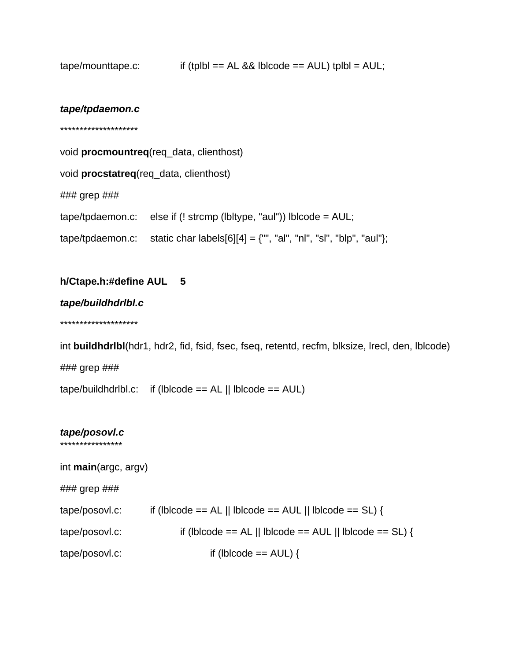| tape/mounttape.c: | if (tplbl == $AL 88$ lblcode == $AUL$ ) tplbl = $AUL$ ; |  |
|-------------------|---------------------------------------------------------|--|
|                   |                                                         |  |

### tape/tpdaemon.c

\*\*\*\*\*\*\*\*\*\*\*\*\*\*\*\*\*\*\*\*

void procmountreq(req\_data, clienthost)

void procstatreq (req\_data, clienthost)

### grep ###

tape/tpdaemon.c: else if (! strcmp (lbltype, "aul")) lblcode = AUL;

tape/tpdaemon.c: static char labels[6][4] =  $\{\{\n^{\prime\prime},\n^{\prime\prime},\n^{\prime\prime},\n^{\prime\prime},\n^{\prime\prime},\n^{\prime\prime}\}$ blp", "aul"};

#### h/Ctape.h:#define AUL  $\overline{\mathbf{5}}$

tape/buildhdrlbl.c

\*\*\*\*\*\*\*\*\*\*\*\*\*\*\*\*\*\*\*\*

int buildhdrlbl(hdr1, hdr2, fid, fsid, fsec, fseq, retentd, recfm, blksize, lrecl, den, lblcode) ### grep ### tape/buildhdrlbl.c: if (lblcode ==  $AL \parallel$  lblcode ==  $AUL$ )

## tape/posovl.c

\*\*\*\*\*\*\*\*\*\*\*\*\*\*\*\*

int main(argc, argv)  $\# \# \#$  grep  $\# \# \#$ if (lblcode == AL || lblcode == AUL || lblcode == SL) { tape/posovl.c: if (lblcode == AL || lblcode == AUL || lblcode == SL) { tape/posovl.c: tape/posovl.c: if (lblcode  $==$  AUL) {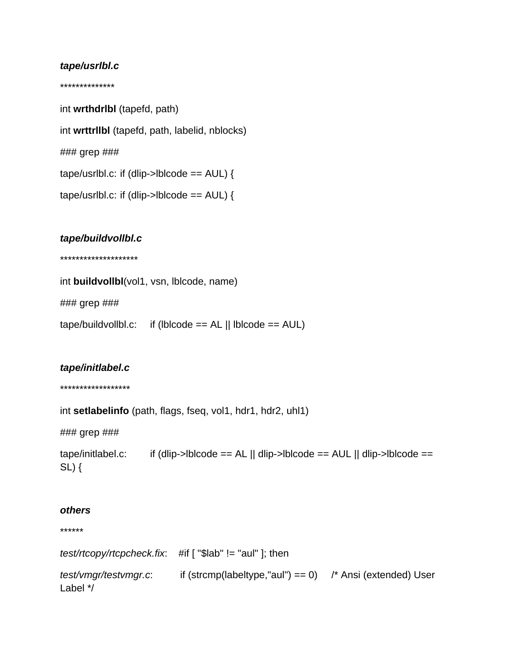# tape/usrlbl.c

\*\*\*\*\*\*\*\*\*\*\*\*\*\*

int wrthdrlbl (tapefd, path) int wrttrllbl (tapefd, path, labelid, nblocks) ### grep ### tape/usrlbl.c: if (dlip->lblcode ==  $AUL$ ) { tape/usrlbl.c: if (dlip->lblcode ==  $AUL$ ) {

### tape/buildvollbl.c

\*\*\*\*\*\*\*\*\*\*\*\*\*\*\*\*\*\*\*\*

| int buildvollbl(vol1, vsn, lblcode, name) |                                                                                         |  |  |  |
|-------------------------------------------|-----------------------------------------------------------------------------------------|--|--|--|
| ### grep ###                              |                                                                                         |  |  |  |
|                                           | $\text{tape/buildvol},$ $\text{t}$ if ( $\text{lblc}$ == AL    $\text{lblcode}$ == AUL) |  |  |  |

## tape/initlabel.c

\*\*\*\*\*\*\*\*\*\*\*\*\*\*\*\*\*\*

int setlabelinfo (path, flags, fseq, vol1, hdr1, hdr2, uhl1)

### grep ###

tape/initlabel.c: if (dlip->lblcode == AL || dlip->lblcode == AUL || dlip->lblcode ==  $SL)$  {

### others

\*\*\*\*\*\*

| test/rtcopy/rtcpcheck.fix.        |                                                                   |  |
|-----------------------------------|-------------------------------------------------------------------|--|
| test/vmgr/testvmgr.c.<br>Label */ | if (strcmp(labeltype,"aul") == 0) $\prime$ * Ansi (extended) User |  |